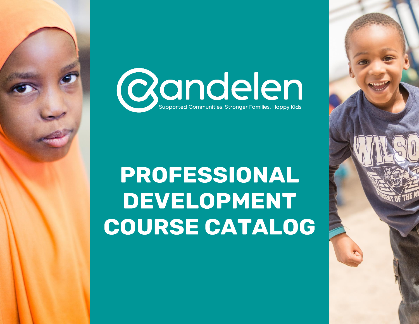

# PROFESSIONAL DEVELOPMENT **COURSE CATALOG**

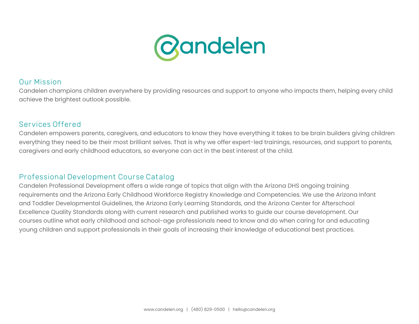

#### **Our Mission**

Candelen champions children everywhere by providing resources and support to anyone who impacts them, helping every child achieve the brightest outlook possible.

#### **Services Offered**

Candelen empowers parents, caregivers, and educators to know they have everything it takes to be brain builders giving children everything they need to be their most brilliant selves. That is why we offer expert-led trainings, resources, and support to parents, caregivers and early childhood educators, so everyone can act in the best interest of the child.

### **Professional Development Course Catalog**

Candelen Professional Development offers a wide range of topics that align with the Arizona DHS ongoing training requirements and the Arizona Early Childhood Workforce Registry Knowledge and Competencies. We use the Arizona Infant and Toddler Developmental Guidelines, the Arizona Early Learning Standards, and the Arizona Center for Afterschool Excellence Quality Standards along with current research and published works to guide our course development. Our courses outline what early childhood and school-age professionals need to know and do when caring for and educating young children and support professionals in their goals of increasing their knowledge of educational best practices.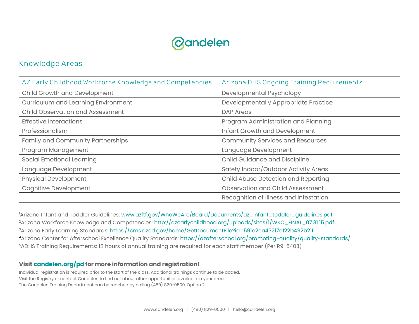## **Candelen**

#### **Knowledge Areas**

| AZ Early Childhood Workforce Knowledge and Competencies | Arizona DHS Ongoing Training Requirements |
|---------------------------------------------------------|-------------------------------------------|
| Child Growth and Development                            | Developmental Psychology                  |
| <b>Curriculum and Learning Environment</b>              | Developmentally Appropriate Practice      |
| <b>Child Observation and Assessment</b>                 | <b>DAP Areas</b>                          |
| <b>Effective Interactions</b>                           | Program Administration and Planning       |
| Professionalism                                         | Infant Growth and Development             |
| Family and Community Partnerships                       | <b>Community Services and Resources</b>   |
| Program Management                                      | Language Development                      |
| Social Emotional Learning                               | Child Guidance and Discipline             |
| Language Development                                    | Safety Indoor/Outdoor Activity Areas      |
| <b>Physical Development</b>                             | Child Abuse Detection and Reporting       |
| <b>Cognitive Development</b>                            | <b>Observation and Child Assessment</b>   |
|                                                         | Recognition of Illness and Infestation    |

<sup>1</sup>Arizona Infant and Toddler Guidelines: [www.azftf.gov/WhoWeAre/Board/Documents/az\\_infant\\_toddler\\_guidelines.pdf](http://www.azftf.gov/WhoWeAre/Board/Documents/az_infant_toddler_guidelines.pdf) <sup>2</sup>Arizona Workforce Knowledge and Competencies: [http://azearlychildhood.org/uploads/sites/1/WKC\\_FINAL\\_07.31.15.pdf](http://azearlychildhood.org/uploads/sites/1/WKC_FINAL_07.31.15.pdf) 3Arizona Early Learning Standards:<https://cms.azed.gov/home/GetDocumentFile?id=591e2ea43217e122b492b21f> 4Arizona Center for Afterschool Excellence Quality Standards:<https://azafterschool.org/promoting-quality/quality-standards/> <sup>5</sup>ADHS Training Requirements: 18 hours of annual training are required for each staff member (Per R9-5403)

#### **Visit candelen.org/pd for more information and registration!**

Individual registration is required prior to the start of the class. Additional trainings continue to be added. Visit the Registry or contact Candelen to find out about other opportunities available in your area. The Candelen Training Department can be reached by calling (480) 829-0500, Option 2.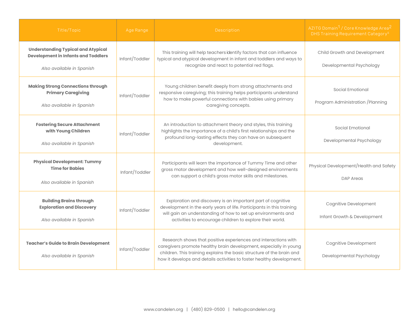| Title/Topic                                                                                                          | Age Range      | Description                                                                                                                                                                                                                                                                           | AZITG Domain <sup>1</sup> / Core Knowledge Area <sup>2</sup><br>DHS Training Requirement Category <sup>5</sup> |
|----------------------------------------------------------------------------------------------------------------------|----------------|---------------------------------------------------------------------------------------------------------------------------------------------------------------------------------------------------------------------------------------------------------------------------------------|----------------------------------------------------------------------------------------------------------------|
| <b>Understanding Typical and Atypical</b><br><b>Development in Infants and Toddlers</b><br>Also available in Spanish | Infant/Toddler | This training will help teachers identify factors that can influence<br>typical and atypical development in infant and toddlers and ways to<br>recognize and react to potential red flags.                                                                                            | Child Growth and Development<br>Developmental Psychology                                                       |
| <b>Making Strong Connections through</b><br><b>Primary Caregiving</b><br>Also available in Spanish                   | Infant/Toddler | Young children benefit deeply from strong attachments and<br>responsive caregiving; this training helps participants understand<br>how to make powerful connections with babies using primary<br>caregiving concepts.                                                                 | Social Emotional<br>Program Administration / Planning                                                          |
| <b>Fostering Secure Attachment</b><br>with Young Children<br>Also available in Spanish                               | Infant/Toddler | An introduction to attachment theory and styles, this training<br>highlights the importance of a child's first relationships and the<br>profound long-lasting effects they can have on subsequent<br>development.                                                                     | Social Emotional<br>Developmental Psychology                                                                   |
| <b>Physical Development: Tummy</b><br><b>Time for Babies</b><br>Also available in Spanish                            | Infant/Toddler | Participants will learn the importance of Tummy Time and other<br>gross motor development and how well-designed environments<br>can support a child's gross motor skills and milestones.                                                                                              | Physical Development/Health and Safety<br><b>DAP Areas</b>                                                     |
| <b>Building Brains through</b><br><b>Exploration and Discovery</b><br>Also available in Spanish                      | Infant/Toddler | Exploration and discovery is an important part of cognitive<br>development in the early years of life. Participants in this training<br>will gain an understanding of how to set up environments and<br>activities to encourage children to explore their world.                      | Cognitive Development<br>Infant Growth & Development                                                           |
| <b>Teacher's Guide to Brain Development</b><br>Also available in Spanish                                             | Infant/Toddler | Research shows that positive experiences and interactions with<br>caregivers promote healthy brain development, especially in young<br>children. This training explains the basic structure of the brain and<br>how it develops and details activities to foster healthy development. | Cognitive Development<br>Developmental Psychology                                                              |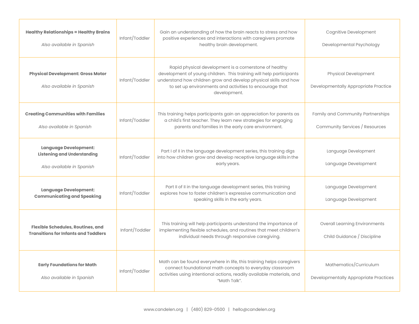| <b>Healthy Relationships = Healthy Brains</b><br>Also available in Spanish                      | Infant/Toddler | Gain an understanding of how the brain reacts to stress and how<br>positive experiences and interactions with caregivers promote<br>healthy brain development.                                                                                                               | Cognitive Development<br>Developmental Psychology                   |
|-------------------------------------------------------------------------------------------------|----------------|------------------------------------------------------------------------------------------------------------------------------------------------------------------------------------------------------------------------------------------------------------------------------|---------------------------------------------------------------------|
| <b>Physical Development: Gross Motor</b><br>Also available in Spanish                           | Infant/Toddler | Rapid physical development is a cornerstone of healthy<br>development of young children. This training will help participants<br>understand how children grow and develop physical skills and how<br>to set up environments and activities to encourage that<br>development. | Physical Development<br>Developmentally Appropriate Practice        |
| <b>Creating Communities with Families</b><br>Also available in Spanish                          | Infant/Toddler | This training helps participants gain an appreciation for parents as<br>a child's first teacher. They learn new strategies for engaging<br>parents and families in the early care environment.                                                                               | Family and Community Partnerships<br>Community Services / Resources |
| <b>Language Development:</b><br><b>Listening and Understanding</b><br>Also available in Spanish | Infant/Toddler | Part I of II in the language development series, this training digs<br>into how children grow and develop receptive language skills in the<br>early years.                                                                                                                   | Language Development<br>Language Development                        |
| <b>Language Development:</b><br><b>Communicating and Speaking</b>                               | Infant/Toddler | Part II of II in the language development series, this training<br>explores how to foster children's expressive communication and<br>speaking skills in the early years.                                                                                                     | Language Development<br>Language Development                        |
| <b>Flexible Schedules, Routines, and</b><br><b>Transitions for Infants and Toddlers</b>         | Infant/Toddler | This training will help participants understand the importance of<br>implementing flexible schedules, and routines that meet children's<br>individual needs through responsive caregiving.                                                                                   | <b>Overall Learning Environments</b><br>Child Guidance / Discipline |
| <b>Early Foundations for Math</b><br>Also available in Spanish                                  | Infant/Toddler | Math can be found everywhere in life, this training helps caregivers<br>connect foundational math concepts to everyday classroom<br>activities using intentional actions, readily available materials, and<br>"Math Talk".                                                   | Mathematics/Curriculum<br>Developmentally Appropriate Practices     |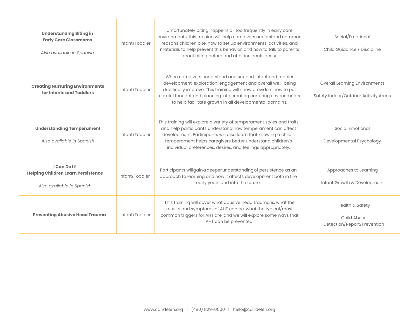| <b>Understanding Biting in</b><br><b>Early Care Classrooms</b><br>Also available in Spanish | Infant/Toddler | Unfortunately biting happens all too frequently in early care<br>environments, this training will help caregivers understand common<br>reasons children bite, how to set up environments, activities, and<br>materials to help prevent this behavior, and how to talk to parents<br>about biting before and after incidents occur.    | Social/Emotional<br>Child Guidance / Discipline                              |
|---------------------------------------------------------------------------------------------|----------------|---------------------------------------------------------------------------------------------------------------------------------------------------------------------------------------------------------------------------------------------------------------------------------------------------------------------------------------|------------------------------------------------------------------------------|
| <b>Creating Nurturing Environments</b><br>for Infants and Toddlers                          | Infant/Toddler | When caregivers understand and support infant and toddler<br>development, exploration, engagement and overall well-being<br>drastically improve. This training will show providers how to put<br>careful thought and planning into creating nurturing environments<br>to help facilitate growth in all developmental domains.         | <b>Overall Learning Environments</b><br>Safety Indoor/Outdoor Activity Areas |
| <b>Understanding Temperament</b><br>Also available in Spanish                               | Infant/Toddler | This training will explore a variety of temperament styles and traits<br>and help participants understand how temperament can affect<br>development. Participants will also learn that knowing a child's<br>temperament helps caregivers better understand children's<br>individual preferences, desires, and feelings appropriately. | Social Emotional<br>Developmental Psychology                                 |
| I Can Do It!<br><b>Helping Children Learn Persistence</b><br>Also available in Spanish      | Infant/Toddler | Participants will gain a deeper understanding of persistence as an<br>approach to learning and how it affects development both in the<br>early years and into the future.                                                                                                                                                             | Approaches to Learning<br>Infant Growth & Development                        |
| <b>Preventing Abusive Head Trauma</b>                                                       | Infant/Toddler | This training will cover what abusive head trauma is, what the<br>results and symptoms of AHT can be, what the typical/most<br>common triggers for AHT are, and we will explore some ways that<br>AHT can be prevented.                                                                                                               | Health & Safety<br>Child Abuse<br>Detection/Report/Prevention                |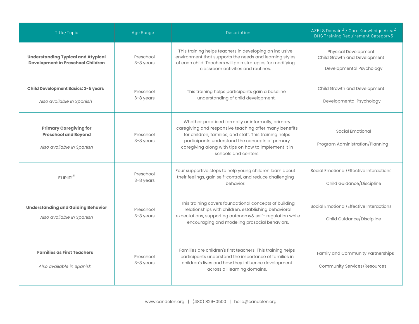| Title/Topic                                                                               | Age Range              | Description                                                                                                                                                                                                                                                                                              | AZELS Domain <sup>3</sup> / Core Knowledge Area <sup>2</sup><br>DHS Training Requirement Category5 |
|-------------------------------------------------------------------------------------------|------------------------|----------------------------------------------------------------------------------------------------------------------------------------------------------------------------------------------------------------------------------------------------------------------------------------------------------|----------------------------------------------------------------------------------------------------|
| <b>Understanding Typical and Atypical</b><br><b>Development in Preschool Children</b>     | Preschool<br>3-8 years | This training helps teachers in developing an inclusive<br>environment that supports the needs and learning styles<br>of each child. Teachers will gain strategies for modifying<br>classroom activities and routines.                                                                                   | Physical Development<br>Child Growth and Development<br>Developmental Psychology                   |
| <b>Child Development Basics: 3-5 years</b><br>Also available in Spanish                   | Preschool<br>3-8 years | This training helps participants gain a baseline<br>understanding of child development.                                                                                                                                                                                                                  | Child Growth and Development<br>Developmental Psychology                                           |
| <b>Primary Caregiving for</b><br><b>Preschool and Beyond</b><br>Also available in Spanish | Preschool<br>3-8 years | Whether practiced formally or informally, primary<br>caregiving and responsive teaching offer many benefits<br>for children, families, and staff. This training helps<br>participants understand the concepts of primary<br>caregiving along with tips on how to implement it in<br>schools and centers. | Social Emotional<br>Program Administration/Planning                                                |
| FLIP IT!®                                                                                 | Preschool<br>3-8 years | Four supportive steps to help young children learn about<br>their feelings, gain self-control, and reduce challenging<br>behavior.                                                                                                                                                                       | Social Emotional/Effective Interactions<br>Child Guidance/Discipline                               |
| <b>Understanding and Guiding Behavior</b><br>Also available in Spanish                    | Preschool<br>3-8 years | This training covers foundational concepts of building<br>relationships with children, establishing behavioral<br>expectations, supporting autonomy& self-regulation while<br>encouraging and modeling prosocial behaviors.                                                                              | Social Emotional/Effective Interactions<br>Child Guidance/Discipline                               |
| <b>Families as First Teachers</b><br>Also available in Spanish                            | Preschool<br>3-8 years | Families are children's first teachers. This training helps<br>participants understand the importance of families in<br>children's lives and how they influence development<br>across all learning domains.                                                                                              | Family and Community Partnerships<br>Community Services/Resources                                  |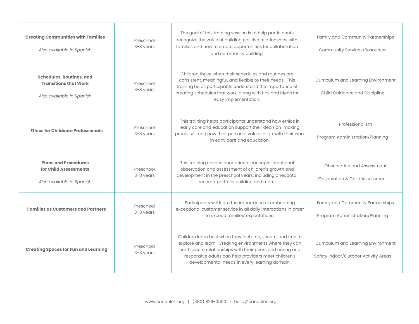| <b>Creating Communities with Families</b><br>Also available in Spanish                       | Preschool<br>3-8 years | The goal of this training session is to help participants<br>recognize the value of building positive relationships with<br>families and how to create opportunities for collaboration<br>and community building.                                                                              | Family and Community Partnerships<br><b>Community Services/Resources</b>    |
|----------------------------------------------------------------------------------------------|------------------------|------------------------------------------------------------------------------------------------------------------------------------------------------------------------------------------------------------------------------------------------------------------------------------------------|-----------------------------------------------------------------------------|
| <b>Schedules, Routines, and</b><br><b>Transitions that Work</b><br>Also available in Spanish | Preschool<br>3-8 years | Children thrive when their schedules and routines are<br>consistent, meaningful, and flexible to their needs. This<br>training helps participants understand the importance of<br>creating schedules that work, along with tips and ideas for<br>easy implementation.                          | Curriculum and Learning Environment<br>Child Guidance and Discipline        |
| <b>Ethics for Childcare Professionals</b>                                                    | Preschool<br>3-8 years | This training helps participants understand how ethics in<br>early care and education support their decision-making<br>processes and how their personal values align with their work<br>in early care and education.                                                                           | Professionalism<br>Program Administration/Planning                          |
| <b>Plans and Procedures</b><br>for Child Assessments<br>Also available in Spanish            | Preschool<br>3-8 years | This training covers foundational concepts intentional<br>observation and assessment of children's growth and<br>development in the preschool years; including anecdotal<br>records, portfolio building and more.                                                                              | Observation and Assessment<br>Observation & Child Assessment                |
| <b>Families as Customers and Partners</b>                                                    | Preschool<br>3-8 years | Participants will learn the importance of embedding<br>exceptional customer service in all daily interactions in order<br>to exceed families' expectations.                                                                                                                                    | Family and Community Partnerships<br>Program Administration/Planning        |
| <b>Creating Spaces for Fun and Learning</b>                                                  | Preschool<br>3-8 years | Children learn best when they feel safe, secure, and free to<br>explore and learn. Creating environments where they can<br>craft secure relationships with their peers and caring and<br>responsive adults can help providers meet children's<br>developmental needs in every learning domain. | Curriculum and Learning Environment<br>Safety Indoor/Outdoor Activity Areas |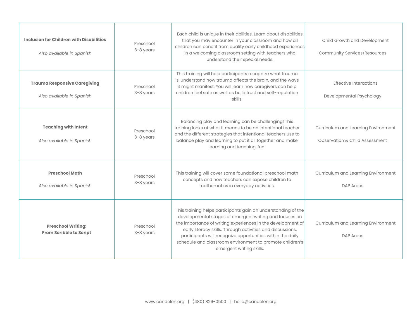| <b>Inclusion for Children with Disabilities</b><br>Also available in Spanish | Preschool<br>3-8 years | Each child is unique in their abilities. Learn about disabilities<br>that you may encounter in your classroom and how all<br>children can benefit from quality early childhood experiences<br>in a welcoming classroom setting with teachers who<br>understand their special needs.                                                                                                                         | Child Growth and Development<br>Community Services/Resources          |
|------------------------------------------------------------------------------|------------------------|-------------------------------------------------------------------------------------------------------------------------------------------------------------------------------------------------------------------------------------------------------------------------------------------------------------------------------------------------------------------------------------------------------------|-----------------------------------------------------------------------|
| <b>Trauma Responsive Caregiving</b><br>Also available in Spanish             | Preschool<br>3-8 years | This training will help participants recognize what trauma<br>is, understand how trauma affects the brain, and the ways<br>it might manifest. You will learn how caregivers can help<br>children feel safe as well as build trust and self-regulation<br>skills.                                                                                                                                            | <b>Effective Interactions</b><br>Developmental Psychology             |
| <b>Teaching with Intent</b><br>Also available in Spanish                     | Preschool<br>3-8 years | Balancing play and learning can be challenging! This<br>training looks at what it means to be an intentional teacher<br>and the different strategies that intentional teachers use to<br>balance play and learning to put it all together and make<br>learning and teaching, fun!                                                                                                                           | Curriculum and Learning Environment<br>Observation & Child Assessment |
| <b>Preschool Math</b><br>Also available in Spanish                           | Preschool<br>3-8 years | This training will cover some foundational preschool math<br>concepts and how teachers can expose children to<br>mathematics in everyday activities.                                                                                                                                                                                                                                                        | Curriculum and Learning Environment<br>DAP Areas                      |
| <b>Preschool Writing:</b><br><b>From Scribble to Script</b>                  | Preschool<br>3-8 years | This training helps participants gain an understanding of the<br>developmental stages of emergent writing and focuses on<br>the importance of writing experiences in the development of<br>early literacy skills. Through activities and discussions,<br>participants will recognize opportunities within the daily<br>schedule and classroom environment to promote children's<br>emergent writing skills. | Curriculum and Learning Environment<br>DAP Areas                      |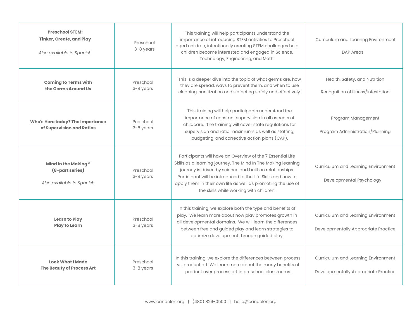| <b>Preschool STEM:</b><br><b>Tinker, Create, and Play</b><br>Also available in Spanish | Preschool<br>3-8 years | This training will help participants understand the<br>importance of introducing STEM activities to Preschool<br>aged children, intentionally creating STEM challenges help<br>children become interested and engaged in Science,<br>Technology, Engineering, and Math.                                                                                            | Curriculum and Learning Environment<br><b>DAP Areas</b>                     |
|----------------------------------------------------------------------------------------|------------------------|--------------------------------------------------------------------------------------------------------------------------------------------------------------------------------------------------------------------------------------------------------------------------------------------------------------------------------------------------------------------|-----------------------------------------------------------------------------|
| <b>Coming to Terms with</b><br>the Germs Around Us                                     | Preschool<br>3-8 years | This is a deeper dive into the topic of what germs are, how<br>they are spread, ways to prevent them, and when to use<br>cleaning, sanitization or disinfecting safely and effectively.                                                                                                                                                                            | Health, Safety, and Nutrition<br>Recognition of Illness/Infestation         |
| Who's Here today? The Importance<br>of Supervision and Ratios                          | Preschool<br>3-8 years | This training will help participants understand the<br>importance of constant supervision in all aspects of<br>childcare. The training will cover state regulations for<br>supervision and ratio maximums as well as staffing,<br>budgeting, and corrective action plans (CAP).                                                                                    | Program Management<br>Program Administration/Planning                       |
| Mind in the Making®<br>(8-part series)<br>Also available in Spanish                    | Preschool<br>3-8 years | Participants will have an Overview of the 7 Essential Life<br>Skills as a learning journey. The Mind In The Making learning<br>journey is driven by science and built on relationships.<br>Participant will be introduced to the Life Skills and how to<br>apply them in their own life as well as promoting the use of<br>the skills while working with children. | Curriculum and Learning Environment<br>Developmental Psychology             |
| <b>Learn to Play</b><br><b>Play to Learn</b>                                           | Preschool<br>3-8 years | In this training, we explore both the type and benefits of<br>play. We learn more about how play promotes growth in<br>all developmental domains. We will learn the differences<br>between free and guided play and learn strategies to<br>optimize development through guided play.                                                                               | Curriculum and Learning Environment<br>Developmentally Appropriate Practice |
| <b>Look What I Made</b><br><b>The Beauty of Process Art</b>                            | Preschool<br>3-8 years | In this training, we explore the differences between process<br>vs. product art. We learn more about the many benefits of<br>product over process art in preschool classrooms.                                                                                                                                                                                     | Curriculum and Learning Environment<br>Developmentally Appropriate Practice |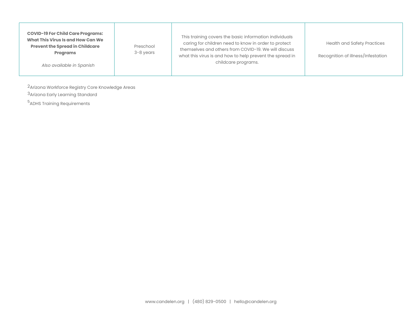| <b>COVID-19 For Child Care Programs:</b><br>This training covers the basic information individuals<br>What This Virus Is and How Can We<br>caring for children need to know in order to protect<br><b>Health and Safety Practices</b><br><b>Prevent the Spread in Childcare</b><br>Preschool<br>themselves and others from COVID-19. We will discuss<br>3-8 years<br><b>Programs</b><br>what this virus is and how to help prevent the spread in<br>Recognition of illness/Infestation<br>childcare programs.<br>Also available in Spanish |
|--------------------------------------------------------------------------------------------------------------------------------------------------------------------------------------------------------------------------------------------------------------------------------------------------------------------------------------------------------------------------------------------------------------------------------------------------------------------------------------------------------------------------------------------|
|--------------------------------------------------------------------------------------------------------------------------------------------------------------------------------------------------------------------------------------------------------------------------------------------------------------------------------------------------------------------------------------------------------------------------------------------------------------------------------------------------------------------------------------------|

2Arizona Workforce Registry Core Knowledge Areas 3Arizona Early Learning Standard

 $5$ ADHS Training Requirements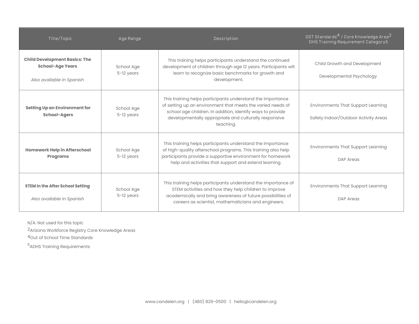| Title/Topic                                                                                  | Age Range                  | Description                                                                                                                                                                                                                                                   | $0$ ST Standards <sup>4</sup> / Core Knowledge Area <sup>2</sup><br>DHS Training Requirement Category5 |
|----------------------------------------------------------------------------------------------|----------------------------|---------------------------------------------------------------------------------------------------------------------------------------------------------------------------------------------------------------------------------------------------------------|--------------------------------------------------------------------------------------------------------|
| <b>Child Development Basics: The</b><br><b>School-Age Years</b><br>Also available in Spanish | School Age<br>5-12 years   | This training helps participants understand the continued<br>development of children through age 12 years. Participants will<br>learn to recognize basic benchmarks for growth and<br>development.                                                            | Child Growth and Development<br>Developmental Psychology                                               |
| <b>Setting Up an Environment for</b><br><b>School-Agers</b>                                  | School Age<br>5-12 years   | This training helps participants understand the importance<br>of setting up an environment that meets the varied needs of<br>school age children. In addition, identify ways to provide<br>developmentally appropriate and culturally responsive<br>teaching. | Environments That Support Learning<br>Safety Indoor/Outdoor Activity Areas                             |
| <b>Homework Help in Afterschool</b><br><b>Programs</b>                                       | School Age<br>$5-12$ years | This training helps participants understand the importance<br>of high-quality afterschool programs. This training also help<br>participants provide a supportive environment for homework<br>help and activities that support and extend learning.            | <b>Environments That Support Learning</b><br>DAP Areas                                                 |
| <b>STEM in the After School Setting</b><br>Also available in Spanish                         | School Age<br>$5-12$ years | This training helps participants understand the importance of<br>STEM activities and how they help children to improve<br>academically and bring awareness of future possibilities of<br>careers as scientist, mathematicians and engineers.                  | Environments That Support Learning<br>DAP Areas                                                        |

N/A: Not used for this topic

2Arizona Workforce Registry Core Knowledge Areas

4Out of School Time Standards

<sup>5</sup>ADHS Training Requirements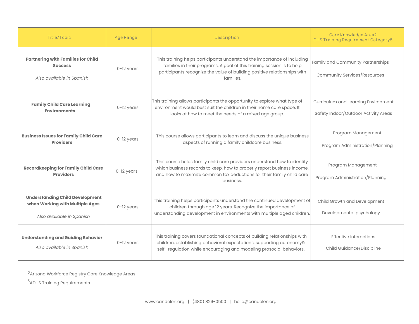| Title/Topic                                                                                            | Age Range  | Description                                                                                                                                                                                                                                | Core Knowledge Area2<br>DHS Training Requirement Category5                  |
|--------------------------------------------------------------------------------------------------------|------------|--------------------------------------------------------------------------------------------------------------------------------------------------------------------------------------------------------------------------------------------|-----------------------------------------------------------------------------|
| <b>Partnering with Families for Child</b><br><b>Success</b><br>Also available in Spanish               | 0-12 years | This training helps participants understand the importance of including<br>families in their programs. A goal of this training session is to help<br>participants recognize the value of building positive relationships with<br>families. | Family and Community Partnerships<br>Community Services/Resources           |
| <b>Family Child Care Learning</b><br><b>Environments</b>                                               | 0-12 years | This training allows participants the opportunity to explore what type of<br>environment would best suit the children in their home care space. It<br>looks at how to meet the needs of a mixed age group.                                 | Curriculum and Learning Environment<br>Safety Indoor/Outdoor Activity Areas |
| <b>Business Issues for Family Child Care</b><br><b>Providers</b>                                       | 0-12 years | This course allows participants to learn and discuss the unique business<br>aspects of running a family childcare business.                                                                                                                | Program Management<br>Program Administration/Planning                       |
| <b>Recordkeeping for Family Child Care</b><br><b>Providers</b>                                         | 0-12 years | This course helps family child care providers understand how to identify<br>which business records to keep, how to properly report business income,<br>and how to maximize common tax deductions for their family child care<br>business.  | Program Management<br>Program Administration/Planning                       |
| <b>Understanding Child Development</b><br>when Working with Multiple Ages<br>Also available in Spanish | 0-12 years | This training helps participants understand the continued development of<br>children through age 12 years. Recognize the importance of<br>understanding development in environments with multiple aged children.                           | Child Growth and Development<br>Developmental psychology                    |
| <b>Understanding and Guiding Behavior</b><br>Also available in Spanish                                 | 0-12 years | This training covers foundational concepts of building relationships with<br>children, establishing behavioral expectations, supporting autonomy&<br>self-regulation while encouraging and modeling prosocial behaviors.                   | <b>Effective Interactions</b><br>Child Guidance/Discipline                  |

2Arizona Workforce Registry Core Knowledge Areas

<sup>5</sup>ADHS Training Requirements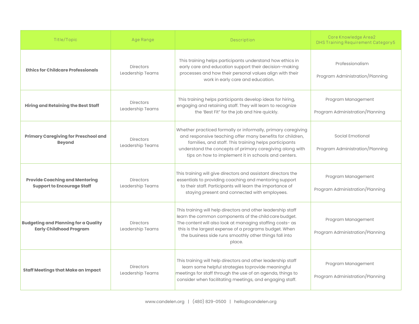| Title/Topic                                                                   | Age Range                            | Description                                                                                                                                                                                                                                                                                                      | Core Knowledge Area2<br>DHS Training Requirement Category5 |
|-------------------------------------------------------------------------------|--------------------------------------|------------------------------------------------------------------------------------------------------------------------------------------------------------------------------------------------------------------------------------------------------------------------------------------------------------------|------------------------------------------------------------|
| <b>Ethics for Childcare Professionals</b>                                     | <b>Directors</b><br>Leadership Teams | This training helps participants understand how ethics in<br>early care and education support their decision-making<br>processes and how their personal values align with their<br>work in early care and education.                                                                                             | Professionalism<br>Program Administration/Planning         |
| <b>Hiring and Retaining the Best Staff</b>                                    | <b>Directors</b><br>Leadership Teams | This training helps participants develop ideas for hiring,<br>engaging and retaining staff. They will learn to recognize<br>the 'Best Fit" for the job and hire quickly.                                                                                                                                         | Program Management<br>Program Administration/Planning      |
| <b>Primary Caregiving for Preschool and</b><br><b>Beyond</b>                  | <b>Directors</b><br>Leadership Teams | Whether practiced formally or informally, primary caregiving<br>and responsive teaching offer many benefits for children,<br>families, and staff. This training helps participants<br>understand the concepts of primary caregiving along with<br>tips on how to implement it in schools and centers.            | Social Emotional<br>Program Administration/Planning        |
| <b>Provide Coaching and Mentoring</b><br><b>Support to Encourage Staff</b>    | <b>Directors</b><br>Leadership Teams | This training will give directors and assistant directors the<br>essentials to providing coaching and mentoring support<br>to their staff. Participants will learn the importance of<br>staying present and connected with employees.                                                                            | Program Management<br>Program Administration/Planning      |
| <b>Budgeting and Planning for a Quality</b><br><b>Early Childhood Program</b> | <b>Directors</b><br>Leadership Teams | This training will help directors and other leadership staff<br>learn the common components of the child care budget.<br>The content will also look at managing staffing costs- as<br>this is the largest expense of a programs budget. When<br>the business side runs smoothly other things fall into<br>place. | Program Management<br>Program Administration/Planning      |
| <b>Staff Meetings that Make an Impact</b>                                     | <b>Directors</b><br>Leadership Teams | This training will help directors and other leadership staff<br>learn some helpful strategies toprovide meaningful<br>meetings for staff through the use of an agenda, things to<br>consider when facilitating meetings, and engaging staff.                                                                     | Program Management<br>Program Administration/Planning      |